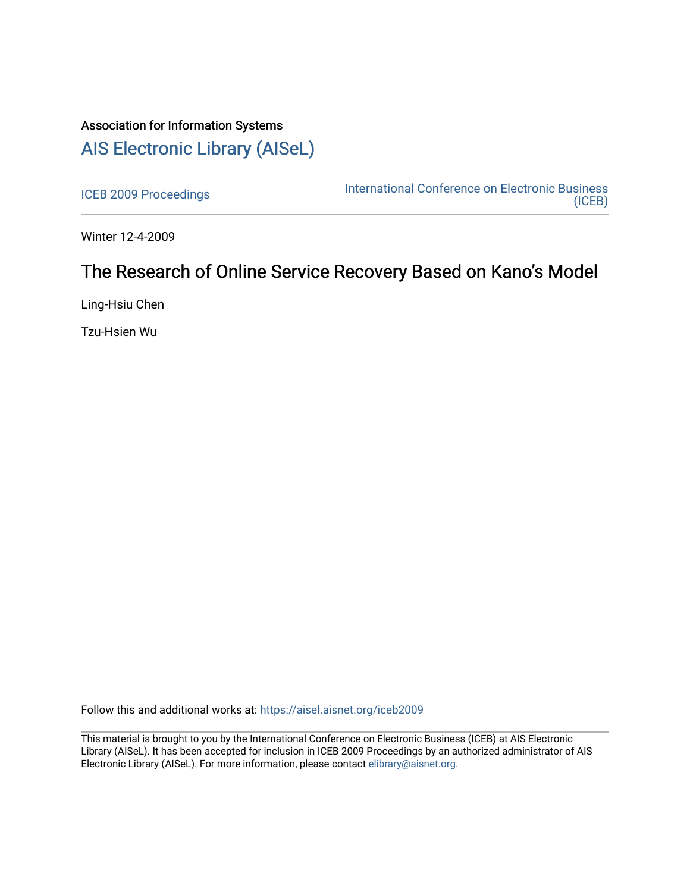## Association for Information Systems [AIS Electronic Library \(AISeL\)](https://aisel.aisnet.org/)

[ICEB 2009 Proceedings](https://aisel.aisnet.org/iceb2009) **International Conference on Electronic Business** [\(ICEB\)](https://aisel.aisnet.org/iceb) 

Winter 12-4-2009

# The Research of Online Service Recovery Based on Kano's Model

Ling-Hsiu Chen

Tzu-Hsien Wu

Follow this and additional works at: [https://aisel.aisnet.org/iceb2009](https://aisel.aisnet.org/iceb2009?utm_source=aisel.aisnet.org%2Ficeb2009%2F22&utm_medium=PDF&utm_campaign=PDFCoverPages)

This material is brought to you by the International Conference on Electronic Business (ICEB) at AIS Electronic Library (AISeL). It has been accepted for inclusion in ICEB 2009 Proceedings by an authorized administrator of AIS Electronic Library (AISeL). For more information, please contact [elibrary@aisnet.org.](mailto:elibrary@aisnet.org%3E)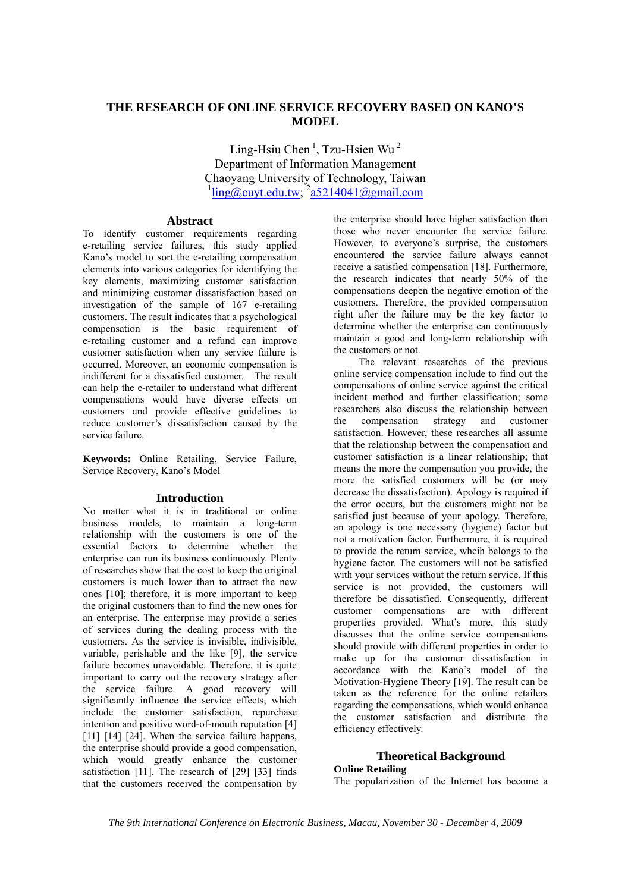## **THE RESEARCH OF ONLINE SERVICE RECOVERY BASED ON KANO'S MODEL**

Ling-Hsiu Chen<sup>1</sup>, Tzu-Hsien Wu<sup>2</sup> Department of Information Management Chaoyang University of Technology, Taiwan  $\frac{1}{\text{ling}(\text{a})\text{cut.edu.tw}}$ ;  $\frac{2 \text{a} 5214041(\text{a})\text{g} \cdot \text{mail.com}}{2 \text{cm} \cdot \text{cm}}$ 

#### **Abstract**

To identify customer requirements regarding e-retailing service failures, this study applied Kano's model to sort the e-retailing compensation elements into various categories for identifying the key elements, maximizing customer satisfaction and minimizing customer dissatisfaction based on investigation of the sample of 167 e-retailing customers. The result indicates that a psychological compensation is the basic requirement of e-retailing customer and a refund can improve customer satisfaction when any service failure is occurred. Moreover, an economic compensation is indifferent for a dissatisfied customer. The result can help the e-retailer to understand what different compensations would have diverse effects on customers and provide effective guidelines to reduce customer's dissatisfaction caused by the service failure.

**Keywords:** Online Retailing, Service Failure, Service Recovery, Kano's Model

## **Introduction**

No matter what it is in traditional or online business models, to maintain a long-term relationship with the customers is one of the essential factors to determine whether the enterprise can run its business continuously. Plenty of researches show that the cost to keep the original customers is much lower than to attract the new ones [10]; therefore, it is more important to keep the original customers than to find the new ones for an enterprise. The enterprise may provide a series of services during the dealing process with the customers. As the service is invisible, indivisible, variable, perishable and the like [9], the service failure becomes unavoidable. Therefore, it is quite important to carry out the recovery strategy after the service failure. A good recovery will significantly influence the service effects, which include the customer satisfaction, repurchase intention and positive word-of-mouth reputation [4] [11] [14] [24]. When the service failure happens, the enterprise should provide a good compensation, which would greatly enhance the customer satisfaction [11]. The research of [29] [33] finds that the customers received the compensation by

the enterprise should have higher satisfaction than those who never encounter the service failure. However, to everyone's surprise, the customers encountered the service failure always cannot receive a satisfied compensation [18]. Furthermore, the research indicates that nearly 50% of the compensations deepen the negative emotion of the customers. Therefore, the provided compensation right after the failure may be the key factor to determine whether the enterprise can continuously maintain a good and long-term relationship with the customers or not.

The relevant researches of the previous online service compensation include to find out the compensations of online service against the critical incident method and further classification; some researchers also discuss the relationship between the compensation strategy and customer satisfaction. However, these researches all assume that the relationship between the compensation and customer satisfaction is a linear relationship; that means the more the compensation you provide, the more the satisfied customers will be (or may decrease the dissatisfaction). Apology is required if the error occurs, but the customers might not be satisfied just because of your apology. Therefore, an apology is one necessary (hygiene) factor but not a motivation factor. Furthermore, it is required to provide the return service, whcih belongs to the hygiene factor. The customers will not be satisfied with your services without the return service. If this service is not provided, the customers will therefore be dissatisfied. Consequently, different customer compensations are with different properties provided. What's more, this study discusses that the online service compensations should provide with different properties in order to make up for the customer dissatisfaction in accordance with the Kano's model of the Motivation-Hygiene Theory [19]. The result can be taken as the reference for the online retailers regarding the compensations, which would enhance the customer satisfaction and distribute the efficiency effectively.

## **Theoretical Background**

## **Online Retailing**

The popularization of the Internet has become a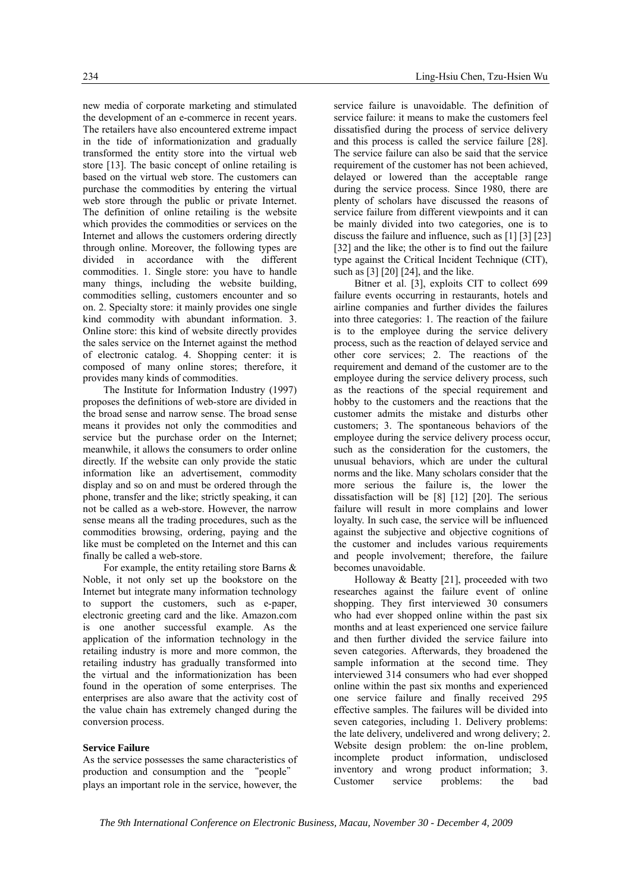new media of corporate marketing and stimulated the development of an e-commerce in recent years. The retailers have also encountered extreme impact in the tide of informationization and gradually transformed the entity store into the virtual web store [13]. The basic concept of online retailing is based on the virtual web store. The customers can purchase the commodities by entering the virtual web store through the public or private Internet. The definition of online retailing is the website which provides the commodities or services on the Internet and allows the customers ordering directly through online. Moreover, the following types are divided in accordance with the different commodities. 1. Single store: you have to handle many things, including the website building, commodities selling, customers encounter and so on. 2. Specialty store: it mainly provides one single kind commodity with abundant information. 3. Online store: this kind of website directly provides the sales service on the Internet against the method of electronic catalog. 4. Shopping center: it is composed of many online stores; therefore, it provides many kinds of commodities.

The Institute for Information Industry (1997) proposes the definitions of web-store are divided in the broad sense and narrow sense. The broad sense means it provides not only the commodities and service but the purchase order on the Internet; meanwhile, it allows the consumers to order online directly. If the website can only provide the static information like an advertisement, commodity display and so on and must be ordered through the phone, transfer and the like; strictly speaking, it can not be called as a web-store. However, the narrow sense means all the trading procedures, such as the commodities browsing, ordering, paying and the like must be completed on the Internet and this can finally be called a web-store.

For example, the entity retailing store Barns & Noble, it not only set up the bookstore on the Internet but integrate many information technology to support the customers, such as e-paper, electronic greeting card and the like. Amazon.com is one another successful example. As the application of the information technology in the retailing industry is more and more common, the retailing industry has gradually transformed into the virtual and the informationization has been found in the operation of some enterprises. The enterprises are also aware that the activity cost of the value chain has extremely changed during the conversion process.

#### **Service Failure**

As the service possesses the same characteristics of production and consumption and the "people" plays an important role in the service, however, the

service failure is unavoidable. The definition of service failure: it means to make the customers feel dissatisfied during the process of service delivery and this process is called the service failure [28]. The service failure can also be said that the service requirement of the customer has not been achieved, delayed or lowered than the acceptable range during the service process. Since 1980, there are plenty of scholars have discussed the reasons of service failure from different viewpoints and it can be mainly divided into two categories, one is to discuss the failure and influence, such as [1] [3] [23] [32] and the like; the other is to find out the failure type against the Critical Incident Technique (CIT), such as [3] [20] [24], and the like.

Bitner et al. [3], exploits CIT to collect 699 failure events occurring in restaurants, hotels and airline companies and further divides the failures into three categories: 1. The reaction of the failure is to the employee during the service delivery process, such as the reaction of delayed service and other core services; 2. The reactions of the requirement and demand of the customer are to the employee during the service delivery process, such as the reactions of the special requirement and hobby to the customers and the reactions that the customer admits the mistake and disturbs other customers; 3. The spontaneous behaviors of the employee during the service delivery process occur, such as the consideration for the customers, the unusual behaviors, which are under the cultural norms and the like. Many scholars consider that the more serious the failure is, the lower the dissatisfaction will be [8] [12] [20]. The serious failure will result in more complains and lower loyalty. In such case, the service will be influenced against the subjective and objective cognitions of the customer and includes various requirements and people involvement; therefore, the failure becomes unavoidable.

Holloway & Beatty [21], proceeded with two researches against the failure event of online shopping. They first interviewed 30 consumers who had ever shopped online within the past six months and at least experienced one service failure and then further divided the service failure into seven categories. Afterwards, they broadened the sample information at the second time. They interviewed 314 consumers who had ever shopped online within the past six months and experienced one service failure and finally received 295 effective samples. The failures will be divided into seven categories, including 1. Delivery problems: the late delivery, undelivered and wrong delivery; 2. Website design problem: the on-line problem, incomplete product information, undisclosed inventory and wrong product information; 3. Customer service problems: the bad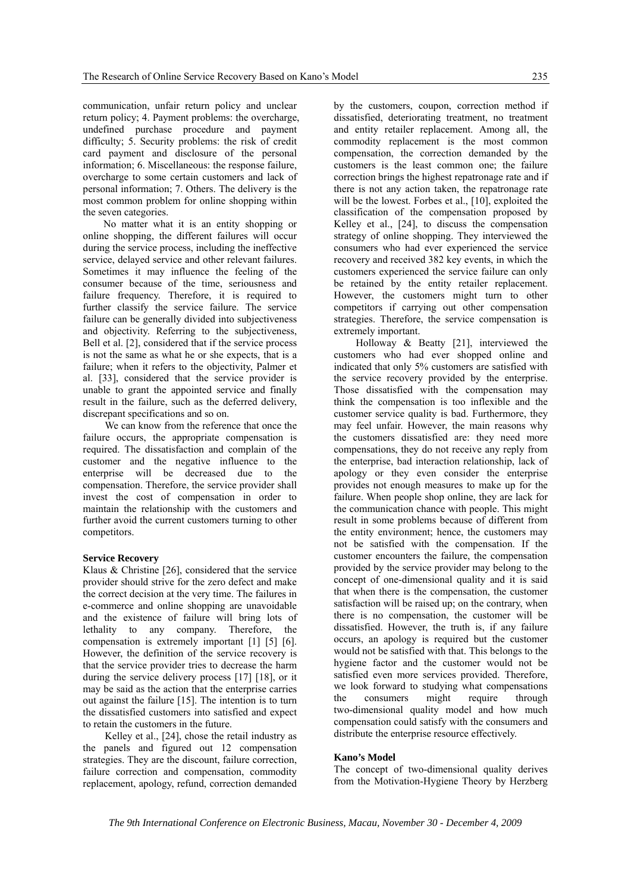communication, unfair return policy and unclear return policy; 4. Payment problems: the overcharge, undefined purchase procedure and payment difficulty; 5. Security problems: the risk of credit card payment and disclosure of the personal information; 6. Miscellaneous: the response failure, overcharge to some certain customers and lack of personal information; 7. Others. The delivery is the most common problem for online shopping within the seven categories.

No matter what it is an entity shopping or online shopping, the different failures will occur during the service process, including the ineffective service, delayed service and other relevant failures. Sometimes it may influence the feeling of the consumer because of the time, seriousness and failure frequency. Therefore, it is required to further classify the service failure. The service failure can be generally divided into subjectiveness and objectivity. Referring to the subjectiveness, Bell et al. [2], considered that if the service process is not the same as what he or she expects, that is a failure; when it refers to the objectivity, Palmer et al. [33], considered that the service provider is unable to grant the appointed service and finally result in the failure, such as the deferred delivery, discrepant specifications and so on.

We can know from the reference that once the failure occurs, the appropriate compensation is required. The dissatisfaction and complain of the customer and the negative influence to the enterprise will be decreased due to the compensation. Therefore, the service provider shall invest the cost of compensation in order to maintain the relationship with the customers and further avoid the current customers turning to other competitors.

#### **Service Recovery**

Klaus & Christine [26], considered that the service provider should strive for the zero defect and make the correct decision at the very time. The failures in e-commerce and online shopping are unavoidable and the existence of failure will bring lots of lethality to any company. Therefore, the compensation is extremely important [1] [5] [6]. However, the definition of the service recovery is that the service provider tries to decrease the harm during the service delivery process [17] [18], or it may be said as the action that the enterprise carries out against the failure [15]. The intention is to turn the dissatisfied customers into satisfied and expect to retain the customers in the future.

Kelley et al., [24], chose the retail industry as the panels and figured out 12 compensation strategies. They are the discount, failure correction, failure correction and compensation, commodity replacement, apology, refund, correction demanded

by the customers, coupon, correction method if dissatisfied, deteriorating treatment, no treatment and entity retailer replacement. Among all, the commodity replacement is the most common compensation, the correction demanded by the customers is the least common one; the failure correction brings the highest repatronage rate and if there is not any action taken, the repatronage rate will be the lowest. Forbes et al., [10], exploited the classification of the compensation proposed by Kelley et al., [24], to discuss the compensation strategy of online shopping. They interviewed the consumers who had ever experienced the service recovery and received 382 key events, in which the customers experienced the service failure can only be retained by the entity retailer replacement. However, the customers might turn to other competitors if carrying out other compensation strategies. Therefore, the service compensation is extremely important.

Holloway & Beatty [21], interviewed the customers who had ever shopped online and indicated that only 5% customers are satisfied with the service recovery provided by the enterprise. Those dissatisfied with the compensation may think the compensation is too inflexible and the customer service quality is bad. Furthermore, they may feel unfair. However, the main reasons why the customers dissatisfied are: they need more compensations, they do not receive any reply from the enterprise, bad interaction relationship, lack of apology or they even consider the enterprise provides not enough measures to make up for the failure. When people shop online, they are lack for the communication chance with people. This might result in some problems because of different from the entity environment; hence, the customers may not be satisfied with the compensation. If the customer encounters the failure, the compensation provided by the service provider may belong to the concept of one-dimensional quality and it is said that when there is the compensation, the customer satisfaction will be raised up; on the contrary, when there is no compensation, the customer will be dissatisfied. However, the truth is, if any failure occurs, an apology is required but the customer would not be satisfied with that. This belongs to the hygiene factor and the customer would not be satisfied even more services provided. Therefore, we look forward to studying what compensations the consumers might require through two-dimensional quality model and how much compensation could satisfy with the consumers and distribute the enterprise resource effectively.

#### **Kano's Model**

The concept of two-dimensional quality derives from the Motivation-Hygiene Theory by Herzberg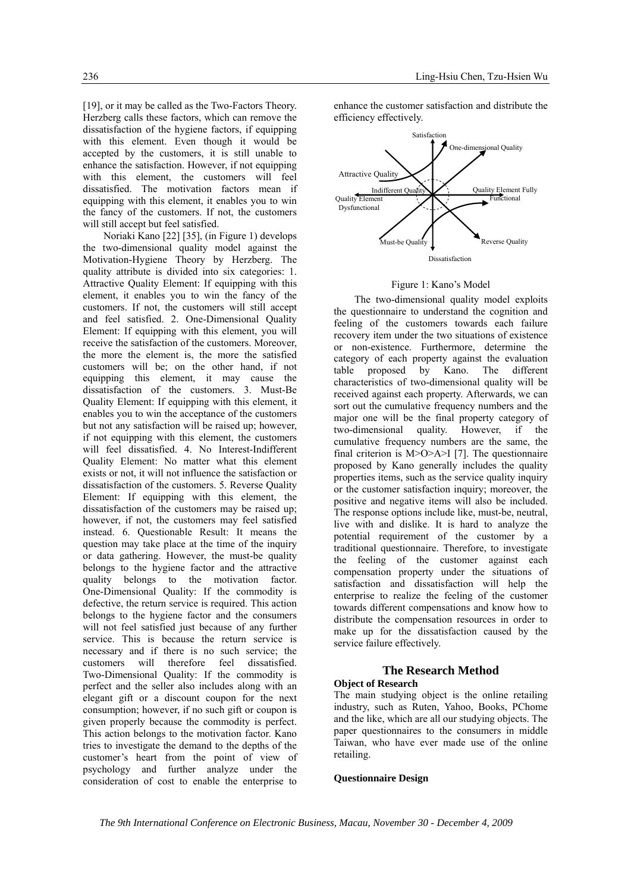[19], or it may be called as the Two-Factors Theory. Herzberg calls these factors, which can remove the dissatisfaction of the hygiene factors, if equipping with this element. Even though it would be accepted by the customers, it is still unable to enhance the satisfaction. However, if not equipping with this element, the customers will feel dissatisfied. The motivation factors mean if equipping with this element, it enables you to win the fancy of the customers. If not, the customers will still accept but feel satisfied.

Noriaki Kano [22] [35], (in Figure 1) develops the two-dimensional quality model against the Motivation-Hygiene Theory by Herzberg. The quality attribute is divided into six categories: 1. Attractive Quality Element: If equipping with this element, it enables you to win the fancy of the customers. If not, the customers will still accept and feel satisfied. 2. One-Dimensional Quality Element: If equipping with this element, you will receive the satisfaction of the customers. Moreover, the more the element is, the more the satisfied customers will be; on the other hand, if not equipping this element, it may cause the dissatisfaction of the customers. 3. Must-Be Quality Element: If equipping with this element, it enables you to win the acceptance of the customers but not any satisfaction will be raised up; however if not equipping with this element, the customers will feel dissatisfied. 4. No Interest-Indifferent Quality Element: No matter what this element exists or not, it will not influence the satisfaction or dissatisfaction of the customers. 5. Reverse Quality Element: If equipping with this element, the dissatisfaction of the customers may be raised up; however, if not, the customers may feel satisfied instead. 6. Questionable Result: It means the question may take place at the time of the inquiry or data gathering. However, the must-be quality belongs to the hygiene factor and the attractive quality belongs to the motivation factor. One-Dimensional Quality: If the commodity is defective, the return service is required. This action belongs to the hygiene factor and the consumers will not feel satisfied just because of any further service. This is because the return service is necessary and if there is no such service; the customers will therefore feel dissatisfied. Two-Dimensional Quality: If the commodity is perfect and the seller also includes along with an elegant gift or a discount coupon for the next consumption; however, if no such gift or coupon is given properly because the commodity is perfect. This action belongs to the motivation factor. Kano tries to investigate the demand to the depths of the customer's heart from the point of view of psychology and further analyze under the consideration of cost to enable the enterprise to

enhance the customer satisfaction and distribute the efficiency effectively.



#### Figure 1: Kano's Model

The two-dimensional quality model exploits the questionnaire to understand the cognition and feeling of the customers towards each failure recovery item under the two situations of existence or non-existence. Furthermore, determine the category of each property against the evaluation table proposed by Kano. The different characteristics of two-dimensional quality will be received against each property. Afterwards, we can sort out the cumulative frequency numbers and the major one will be the final property category of two-dimensional quality. However, if the cumulative frequency numbers are the same, the final criterion is M>O>A>I [7]. The questionnaire proposed by Kano generally includes the quality properties items, such as the service quality inquiry or the customer satisfaction inquiry; moreover, the positive and negative items will also be included. The response options include like, must-be, neutral, live with and dislike. It is hard to analyze the potential requirement of the customer by a traditional questionnaire. Therefore, to investigate the feeling of the customer against each compensation property under the situations of satisfaction and dissatisfaction will help the enterprise to realize the feeling of the customer towards different compensations and know how to distribute the compensation resources in order to make up for the dissatisfaction caused by the service failure effectively.

## **The Research Method**

#### **Object of Research**

The main studying object is the online retailing industry, such as Ruten, Yahoo, Books, PChome and the like, which are all our studying objects. The paper questionnaires to the consumers in middle Taiwan, who have ever made use of the online retailing.

#### **Questionnaire Design**

*The 9th International Conference on Electronic Business, Macau, November 30 - December 4, 2009*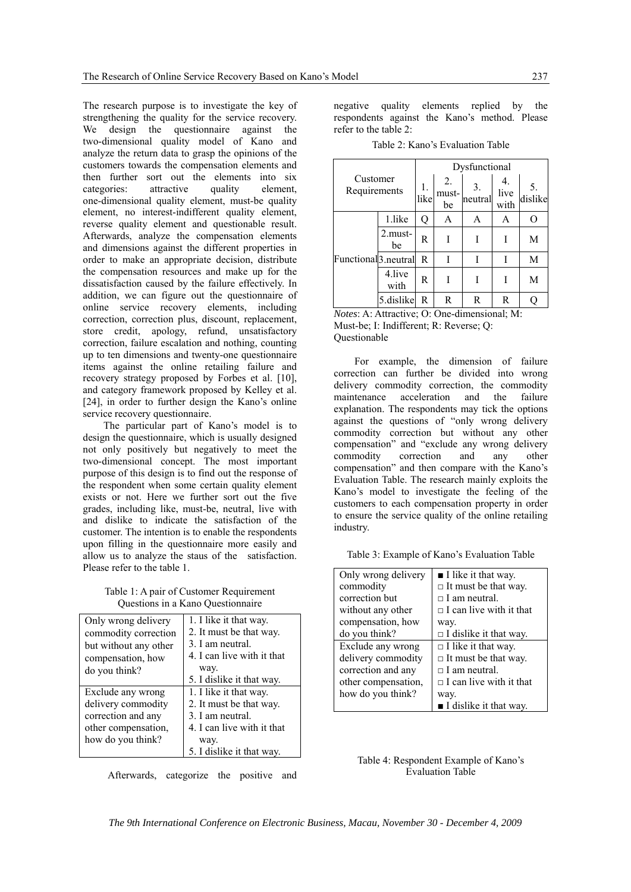The research purpose is to investigate the key of strengthening the quality for the service recovery. We design the questionnaire against the two-dimensional quality model of Kano and analyze the return data to grasp the opinions of the customers towards the compensation elements and then further sort out the elements into six categories: attractive quality element, one-dimensional quality element, must-be quality element, no interest-indifferent quality element, reverse quality element and questionable result. Afterwards, analyze the compensation elements and dimensions against the different properties in order to make an appropriate decision, distribute the compensation resources and make up for the dissatisfaction caused by the failure effectively. In addition, we can figure out the questionnaire of online service recovery elements, including correction, correction plus, discount, replacement, store credit, apology, refund, unsatisfactory correction, failure escalation and nothing, counting up to ten dimensions and twenty-one questionnaire items against the online retailing failure and recovery strategy proposed by Forbes et al. [10], and category framework proposed by Kelley et al. [24], in order to further design the Kano's online service recovery questionnaire.

The particular part of Kano's model is to design the questionnaire, which is usually designed not only positively but negatively to meet the two-dimensional concept. The most important purpose of this design is to find out the response of the respondent when some certain quality element exists or not. Here we further sort out the five grades, including like, must-be, neutral, live with and dislike to indicate the satisfaction of the customer. The intention is to enable the respondents upon filling in the questionnaire more easily and allow us to analyze the staus of the satisfaction. Please refer to the table 1.

Table 1: A pair of Customer Requirement Questions in a Kano Questionnaire

| Only wrong delivery   | 1. I like it that way.     |
|-----------------------|----------------------------|
| commodity correction  | 2. It must be that way.    |
| but without any other | 3 I am neutral             |
| compensation, how     | 4. I can live with it that |
| do you think?         | way.                       |
|                       | 5. I dislike it that way.  |
| Exclude any wrong     | 1. I like it that way.     |
| delivery commodity    | 2. It must be that way.    |
| correction and any    | 3 I am neutral             |
| other compensation,   | 4. I can live with it that |
| how do you think?     | way.                       |
|                       | 5. I dislike it that way.  |

Afterwards, categorize the positive and

negative quality elements replied by the respondents against the Kano's method. Please refer to the table 2:

Table 2: Kano's Evaluation Table

| Customer<br>Requirements         |                   | Dysfunctional |                   |               |              |          |  |
|----------------------------------|-------------------|---------------|-------------------|---------------|--------------|----------|--|
|                                  |                   | like          | 2.<br>must-<br>be | 3.<br>neutral | live<br>with | dislike  |  |
|                                  | 1.like            | Q             | А                 | A             | A            | $\Omega$ |  |
| Functional <sup>3</sup> .neutral | $2$ . must-<br>be | R             |                   |               |              | M        |  |
|                                  |                   | R             |                   |               |              | M        |  |
|                                  | 4.live<br>with    | R             |                   |               |              | M        |  |
|                                  | 5.dislike         | R             | R                 | R             | R            |          |  |

*Notes*: A: Attractive; O: One-dimensional; M: Must-be; I: Indifferent; R: Reverse; Q: Questionable

For example, the dimension of failure correction can further be divided into wrong delivery commodity correction, the commodity maintenance acceleration and the failure explanation. The respondents may tick the options against the questions of "only wrong delivery commodity correction but without any other compensation" and "exclude any wrong delivery commodity correction and any other compensation" and then compare with the Kano's Evaluation Table. The research mainly exploits the Kano's model to investigate the feeling of the customers to each compensation property in order to ensure the service quality of the online retailing industry.

Table 3: Example of Kano's Evaluation Table

| Only wrong delivery | $\blacksquare$ I like it that way.    |
|---------------------|---------------------------------------|
| commodity           | $\Box$ It must be that way.           |
| correction but      | $\Box$ I am neutral.                  |
| without any other   | $\Box$ I can live with it that        |
| compensation, how   | way.                                  |
| do you think?       | $\Box$ I dislike it that way.         |
| Exclude any wrong   | $\Box$ I like it that way.            |
| delivery commodity  | $\Box$ It must be that way.           |
| correction and any  | $\Box$ I am neutral.                  |
| other compensation, | $\Box$ I can live with it that        |
| how do you think?   | way.                                  |
|                     | $\blacksquare$ I dislike it that way. |



*The 9th International Conference on Electronic Business, Macau, November 30 - December 4, 2009*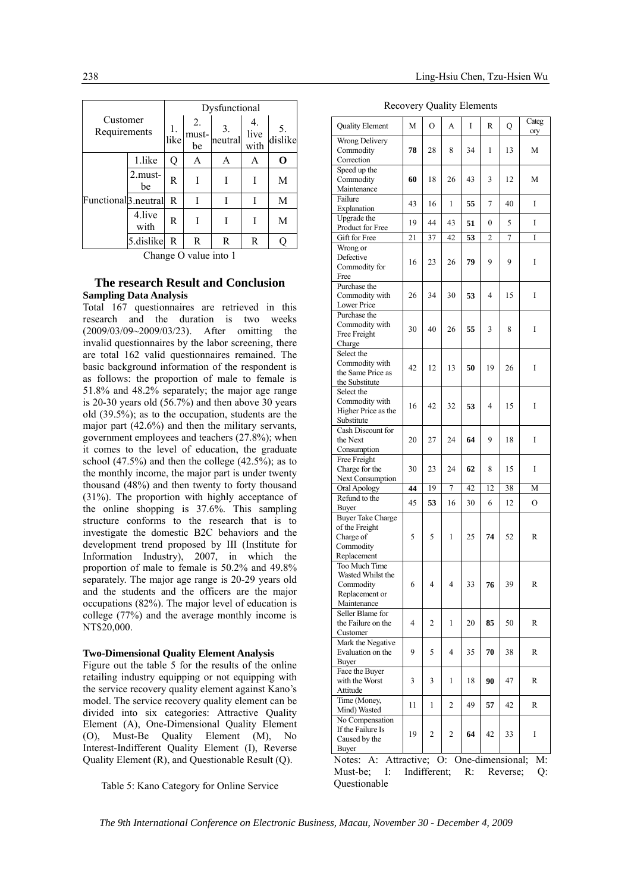| Customer<br>Requirements         |                   | Dysfunctional |                   |               |                    |         |  |
|----------------------------------|-------------------|---------------|-------------------|---------------|--------------------|---------|--|
|                                  |                   | 1.<br>like    | 2.<br>must-<br>be | 3.<br>neutral | 4.<br>live<br>with | dislike |  |
|                                  | 1.like            | Q             | А                 | А             | А                  | O       |  |
| Functional <sup>3</sup> .neutral | $2$ . must-<br>be | R             |                   |               |                    | M       |  |
|                                  |                   | R             |                   | I             |                    | M       |  |
|                                  | 4.live<br>with    | R             |                   |               |                    | M       |  |
|                                  | 5.dislike         | R             | R                 | R             | R                  |         |  |

Change O value into 1

### **The research Result and Conclusion Sampling Data Analysis**

Total 167 questionnaires are retrieved in this research and the duration is two weeks (2009/03/09~2009/03/23). After omitting the invalid questionnaires by the labor screening, there are total 162 valid questionnaires remained. The basic background information of the respondent is as follows: the proportion of male to female is 51.8% and 48.2% separately; the major age range is 20-30 years old (56.7%) and then above 30 years old (39.5%); as to the occupation, students are the major part (42.6%) and then the military servants, government employees and teachers (27.8%); when it comes to the level of education, the graduate school  $(47.5\%)$  and then the college  $(42.5\%)$ ; as to the monthly income, the major part is under twenty thousand (48%) and then twenty to forty thousand (31%). The proportion with highly acceptance of the online shopping is 37.6%. This sampling structure conforms to the research that is to investigate the domestic B2C behaviors and the development trend proposed by III (Institute for Information Industry), 2007, in which the proportion of male to female is 50.2% and 49.8% separately. The major age range is 20-29 years old and the students and the officers are the major occupations (82%). The major level of education is college (77%) and the average monthly income is NT\$20,000.

#### **Two-Dimensional Quality Element Analysis**

Figure out the table 5 for the results of the online retailing industry equipping or not equipping with the service recovery quality element against Kano's model. The service recovery quality element can be divided into six categories: Attractive Quality Element (A), One-Dimensional Quality Element (O), Must-Be Quality Element (M), No Interest-Indifferent Quality Element (I), Reverse Quality Element (R), and Questionable Result (Q).

Table 5: Kano Category for Online Service

Recovery Quality Elements

| <b>Quality Element</b>                                                                          | M  | О  | А  | I  | R                | Q  | Categ<br>ory |
|-------------------------------------------------------------------------------------------------|----|----|----|----|------------------|----|--------------|
| Wrong Delivery<br>Commodity<br>Correction                                                       | 78 | 28 | 8  | 34 | 1                | 13 | М            |
| Speed up the<br>Commodity<br>Maintenance                                                        | 60 | 18 | 26 | 43 | 3                | 12 | М            |
| Failure<br>Explanation                                                                          | 43 | 16 | 1  | 55 | 7                | 40 | I            |
| Upgrade the<br>Product for Free                                                                 | 19 | 44 | 43 | 51 | $\boldsymbol{0}$ | 5  | I            |
| Gift for Free                                                                                   | 21 | 37 | 42 | 53 | 2                | 7  | I            |
| Wrong or<br>Defective<br>Commodity for<br>Free                                                  | 16 | 23 | 26 | 79 | 9                | 9  | Ι            |
| Purchase the<br>Commodity with<br>Lower Price                                                   | 26 | 34 | 30 | 53 | 4                | 15 | I            |
| Purchase the<br>Commodity with<br>Free Freight<br>Charge                                        | 30 | 40 | 26 | 55 | 3                | 8  | I            |
| Select the<br>Commodity with<br>the Same Price as<br>the Substitute                             | 42 | 12 | 13 | 50 | 19               | 26 | I            |
| Select the<br>Commodity with<br>Higher Price as the<br>Substitute                               | 16 | 42 | 32 | 53 | 4                | 15 | I            |
| Cash Discount for<br>the Next<br>Consumption                                                    | 20 | 27 | 24 | 64 | 9                | 18 | I            |
| Free Freight<br>Charge for the<br>Next Consumption                                              | 30 | 23 | 24 | 62 | 8                | 15 | I            |
| Oral Apology                                                                                    | 44 | 19 | 7  | 42 | 12               | 38 | М            |
| Refund to the<br>Buyer                                                                          | 45 | 53 | 16 | 30 | 6                | 12 | O            |
| <b>Buyer Take Charge</b><br>of the Freight<br>Charge of<br>Commodity                            | 5  | 5  | 1  | 25 | 74               | 52 | R            |
| Replacement<br>Too Much Time<br>Wasted Whilst the<br>Commodity<br>Replacement or<br>Maintenance | 6  | 4  | 4  | 33 | 76               | 39 | R            |
| Seller Blame for<br>the Failure on the<br>Customer                                              | 4  | 2  | 1  | 20 | 85               | 50 | R            |
| Mark the Negative<br>Evaluation on the<br>Buyer                                                 | 9  | 5  | 4  | 35 | 70               | 38 | R            |
| Face the Buyer<br>with the Worst<br>Attitude                                                    | 3  | 3  | 1  | 18 | 90               | 47 | R            |
| Time (Money,<br>Mind) Wasted                                                                    | 11 | 1  | 2  | 49 | 57               | 42 | R            |
| No Compensation<br>If the Failure Is<br>Caused by the<br>Buyer                                  | 19 | 2  | 2  | 64 | 42               | 33 | I            |
| Attractive; O: One-dimensional;<br>Notes:<br>A:                                                 |    |    |    |    |                  |    | M:           |
| I:<br>R:<br>Must-be;<br>Indifferent;<br>Q:<br>Reverse;<br>Ouestionable                          |    |    |    |    |                  |    |              |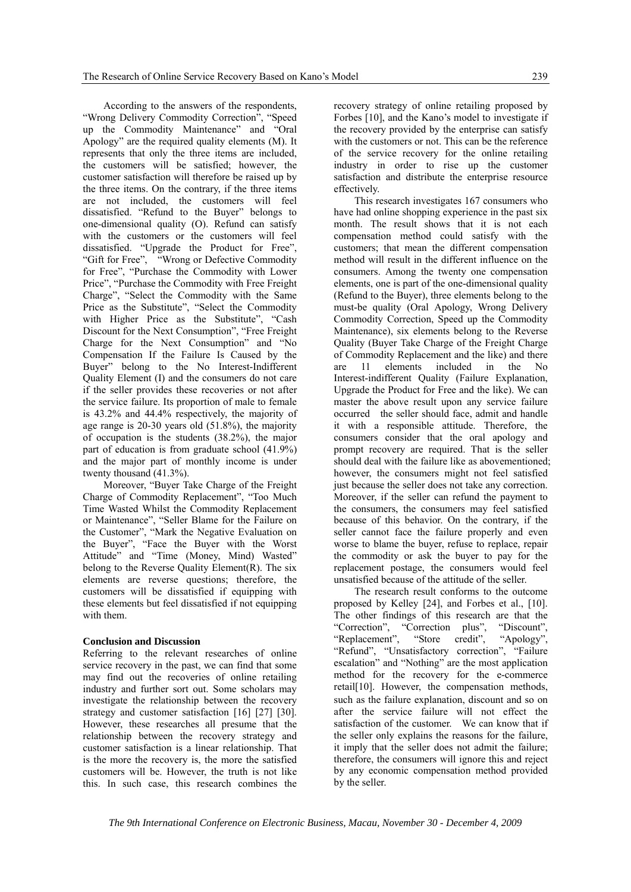According to the answers of the respondents, "Wrong Delivery Commodity Correction", "Speed up the Commodity Maintenance" and "Oral Apology" are the required quality elements (M). It represents that only the three items are included, the customers will be satisfied; however, the customer satisfaction will therefore be raised up by the three items. On the contrary, if the three items are not included, the customers will feel dissatisfied. "Refund to the Buyer" belongs to one-dimensional quality (O). Refund can satisfy with the customers or the customers will feel dissatisfied. "Upgrade the Product for Free", "Gift for Free", "Wrong or Defective Commodity for Free", "Purchase the Commodity with Lower Price", "Purchase the Commodity with Free Freight Charge", "Select the Commodity with the Same Price as the Substitute", "Select the Commodity with Higher Price as the Substitute", "Cash Discount for the Next Consumption", "Free Freight Charge for the Next Consumption" and "No Compensation If the Failure Is Caused by the Buyer" belong to the No Interest-Indifferent Quality Element (I) and the consumers do not care if the seller provides these recoveries or not after the service failure. Its proportion of male to female is 43.2% and 44.4% respectively, the majority of age range is 20-30 years old (51.8%), the majority of occupation is the students (38.2%), the major part of education is from graduate school (41.9%) and the major part of monthly income is under twenty thousand (41.3%).

Moreover, "Buyer Take Charge of the Freight Charge of Commodity Replacement", "Too Much Time Wasted Whilst the Commodity Replacement or Maintenance", "Seller Blame for the Failure on the Customer", "Mark the Negative Evaluation on the Buyer", "Face the Buyer with the Worst Attitude" and "Time (Money, Mind) Wasted" belong to the Reverse Quality Element(R). The six elements are reverse questions; therefore, the customers will be dissatisfied if equipping with these elements but feel dissatisfied if not equipping with them.

#### **Conclusion and Discussion**

Referring to the relevant researches of online service recovery in the past, we can find that some may find out the recoveries of online retailing industry and further sort out. Some scholars may investigate the relationship between the recovery strategy and customer satisfaction [16] [27] [30]. However, these researches all presume that the relationship between the recovery strategy and customer satisfaction is a linear relationship. That is the more the recovery is, the more the satisfied customers will be. However, the truth is not like this. In such case, this research combines the

recovery strategy of online retailing proposed by Forbes [10], and the Kano's model to investigate if the recovery provided by the enterprise can satisfy with the customers or not. This can be the reference of the service recovery for the online retailing industry in order to rise up the customer satisfaction and distribute the enterprise resource effectively.

This research investigates 167 consumers who have had online shopping experience in the past six month. The result shows that it is not each compensation method could satisfy with the customers; that mean the different compensation method will result in the different influence on the consumers. Among the twenty one compensation elements, one is part of the one-dimensional quality (Refund to the Buyer), three elements belong to the must-be quality (Oral Apology, Wrong Delivery Commodity Correction, Speed up the Commodity Maintenance), six elements belong to the Reverse Quality (Buyer Take Charge of the Freight Charge of Commodity Replacement and the like) and there are 11 elements included in the No Interest-indifferent Quality (Failure Explanation, Upgrade the Product for Free and the like). We can master the above result upon any service failure occurred the seller should face, admit and handle it with a responsible attitude. Therefore, the consumers consider that the oral apology and prompt recovery are required. That is the seller should deal with the failure like as abovementioned; however, the consumers might not feel satisfied just because the seller does not take any correction. Moreover, if the seller can refund the payment to the consumers, the consumers may feel satisfied because of this behavior. On the contrary, if the seller cannot face the failure properly and even worse to blame the buyer, refuse to replace, repair the commodity or ask the buyer to pay for the replacement postage, the consumers would feel unsatisfied because of the attitude of the seller.

The research result conforms to the outcome proposed by Kelley [24], and Forbes et al., [10]. The other findings of this research are that the "Correction", "Correction plus", "Discount", "Replacement", "Store credit", "Apology", "Refund", "Unsatisfactory correction", "Failure escalation" and "Nothing" are the most application method for the recovery for the e-commerce retail[10]. However, the compensation methods, such as the failure explanation, discount and so on after the service failure will not effect the satisfaction of the customer. We can know that if the seller only explains the reasons for the failure, it imply that the seller does not admit the failure; therefore, the consumers will ignore this and reject by any economic compensation method provided by the seller.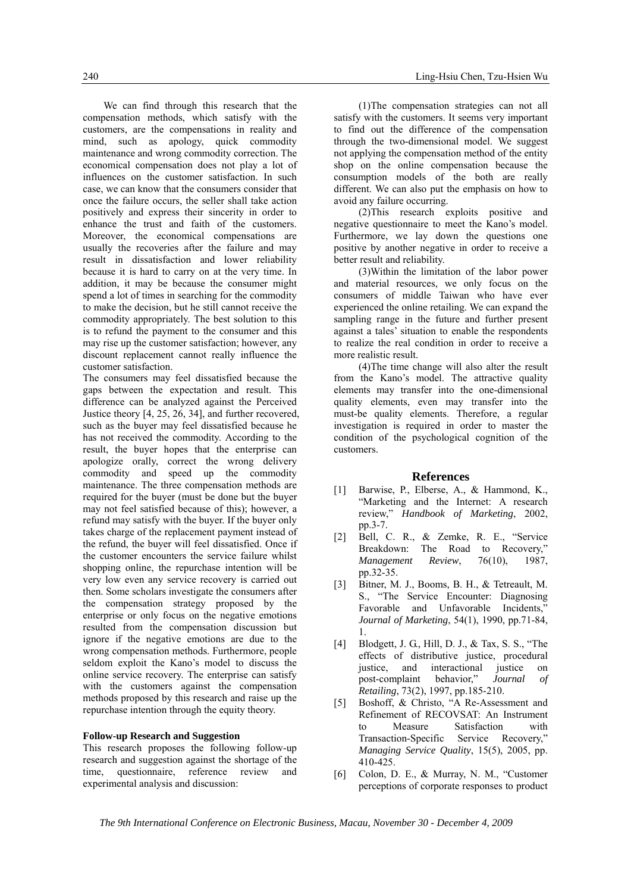We can find through this research that the compensation methods, which satisfy with the customers, are the compensations in reality and mind, such as apology, quick commodity maintenance and wrong commodity correction. The economical compensation does not play a lot of influences on the customer satisfaction. In such case, we can know that the consumers consider that once the failure occurs, the seller shall take action positively and express their sincerity in order to enhance the trust and faith of the customers. Moreover, the economical compensations are usually the recoveries after the failure and may result in dissatisfaction and lower reliability because it is hard to carry on at the very time. In addition, it may be because the consumer might spend a lot of times in searching for the commodity to make the decision, but he still cannot receive the commodity appropriately. The best solution to this is to refund the payment to the consumer and this may rise up the customer satisfaction; however, any discount replacement cannot really influence the customer satisfaction.

The consumers may feel dissatisfied because the gaps between the expectation and result. This difference can be analyzed against the Perceived Justice theory [4, 25, 26, 34], and further recovered, such as the buyer may feel dissatisfied because he has not received the commodity. According to the result, the buyer hopes that the enterprise can apologize orally, correct the wrong delivery commodity and speed up the commodity maintenance. The three compensation methods are required for the buyer (must be done but the buyer may not feel satisfied because of this); however, a refund may satisfy with the buyer. If the buyer only takes charge of the replacement payment instead of the refund, the buyer will feel dissatisfied. Once if the customer encounters the service failure whilst shopping online, the repurchase intention will be very low even any service recovery is carried out then. Some scholars investigate the consumers after the compensation strategy proposed by the enterprise or only focus on the negative emotions resulted from the compensation discussion but ignore if the negative emotions are due to the wrong compensation methods. Furthermore, people seldom exploit the Kano's model to discuss the online service recovery. The enterprise can satisfy with the customers against the compensation methods proposed by this research and raise up the repurchase intention through the equity theory.

#### **Follow-up Research and Suggestion**

This research proposes the following follow-up research and suggestion against the shortage of the time, questionnaire, reference review and experimental analysis and discussion:

(1)The compensation strategies can not all satisfy with the customers. It seems very important to find out the difference of the compensation through the two-dimensional model. We suggest not applying the compensation method of the entity shop on the online compensation because the consumption models of the both are really different. We can also put the emphasis on how to avoid any failure occurring.

(2)This research exploits positive and negative questionnaire to meet the Kano's model. Furthermore, we lay down the questions one positive by another negative in order to receive a better result and reliability.

(3)Within the limitation of the labor power and material resources, we only focus on the consumers of middle Taiwan who have ever experienced the online retailing. We can expand the sampling range in the future and further present against a tales' situation to enable the respondents to realize the real condition in order to receive a more realistic result.

(4)The time change will also alter the result from the Kano's model. The attractive quality elements may transfer into the one-dimensional quality elements, even may transfer into the must-be quality elements. Therefore, a regular investigation is required in order to master the condition of the psychological cognition of the customers.

#### **References**

- [1] Barwise, P., Elberse, A., & Hammond, K., "Marketing and the Internet: A research review," *Handbook of Marketing*, 2002, pp.3-7.
- [2] Bell, C. R., & Zemke, R. E., "Service Breakdown: The Road to Recovery," *Management Review*, 76(10), 1987, pp.32-35.
- [3] Bitner, M. J., Booms, B. H., & Tetreault, M. S., "The Service Encounter: Diagnosing Favorable and Unfavorable Incidents," *Journal of Marketing*, 54(1), 1990, pp.71-84, 1.
- [4] Blodgett, J. G., Hill, D. J., & Tax, S. S., "The effects of distributive justice, procedural justice, and interactional justice on post-complaint behavior," *Journal of Retailing*, 73(2), 1997, pp.185-210.
- [5] Boshoff, & Christo, "A Re-Assessment and Refinement of RECOVSAT: An Instrument to Measure Satisfaction with Transaction-Specific Service Recovery," *Managing Service Quality*, 15(5), 2005, pp. 410-425.
- [6] Colon, D. E., & Murray, N. M., "Customer perceptions of corporate responses to product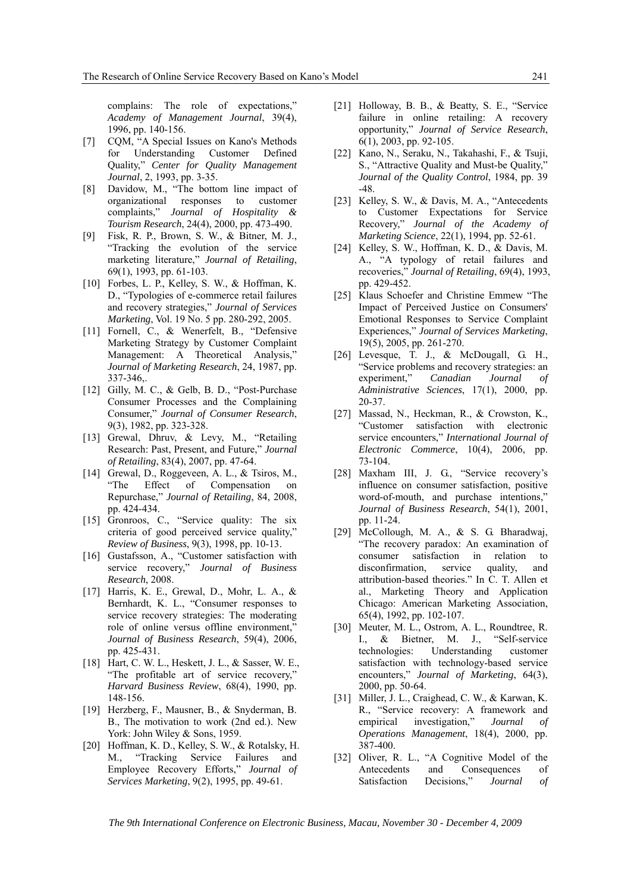complains: The role of expectations," *Academy of Management Journal*, 39(4), 1996, pp. 140-156.

- [7] CQM, "A Special Issues on Kano's Methods for Understanding Customer Defined Quality," *Center for Quality Management Journal*, 2, 1993, pp. 3-35.
- [8] Davidow, M., "The bottom line impact of organizational responses to customer complaints," *Journal of Hospitality & Tourism Research*, 24(4), 2000, pp. 473-490.
- [9] Fisk, R. P., Brown, S. W., & Bitner, M. J., "Tracking the evolution of the service marketing literature," *Journal of Retailing*, 69(1), 1993, pp. 61-103.
- [10] Forbes, L. P., Kelley, S. W., & Hoffman, K. D., "Typologies of e-commerce retail failures and recovery strategies," *Journal of Services Marketing*, Vol. 19 No. 5 pp. 280-292, 2005.
- [11] Fornell, C., & Wenerfelt, B., "Defensive Marketing Strategy by Customer Complaint Management: A Theoretical Analysis," *Journal of Marketing Research*, 24, 1987, pp. 337-346,.
- [12] Gilly, M. C., & Gelb, B. D., "Post-Purchase Consumer Processes and the Complaining Consumer," *Journal of Consumer Research*, 9(3), 1982, pp. 323-328.
- [13] Grewal, Dhruv, & Levy, M., "Retailing Research: Past, Present, and Future," *Journal of Retailing*, 83(4), 2007, pp. 47-64.
- [14] Grewal, D., Roggeveen, A. L., & Tsiros, M., "The Effect of Compensation on Repurchase," *Journal of Retailing*, 84, 2008, pp. 424-434.
- [15] Gronroos, C., "Service quality: The six criteria of good perceived service quality," *Review of Business*, 9(3), 1998, pp. 10-13.
- [16] Gustafsson, A., "Customer satisfaction with service recovery," *Journal of Business Research*, 2008.
- [17] Harris, K. E., Grewal, D., Mohr, L. A., & Bernhardt, K. L., "Consumer responses to service recovery strategies: The moderating role of online versus offline environment," *Journal of Business Research*, 59(4), 2006, pp. 425-431.
- [18] Hart, C. W. L., Heskett, J. L., & Sasser, W. E., "The profitable art of service recovery," *Harvard Business Review*, 68(4), 1990, pp. 148-156.
- [19] Herzberg, F., Mausner, B., & Snyderman, B. B., The motivation to work (2nd ed.). New York: John Wiley & Sons, 1959.
- [20] Hoffman, K. D., Kelley, S. W., & Rotalsky, H. M., "Tracking Service Failures and Employee Recovery Efforts," *Journal of Services Marketing*, 9(2), 1995, pp. 49-61.
- [21] Holloway, B. B., & Beatty, S. E., "Service" failure in online retailing: A recovery opportunity," *Journal of Service Research*, 6(1), 2003, pp. 92-105.
- [22] Kano, N., Seraku, N., Takahashi, F., & Tsuji, S., "Attractive Quality and Must-be Quality," *Journal of the Quality Control*, 1984, pp. 39 -48.
- [23] Kelley, S. W., & Davis, M. A., "Antecedents to Customer Expectations for Service Recovery," *Journal of the Academy of Marketing Science*, 22(1), 1994, pp. 52-61.
- [24] Kelley, S. W., Hoffman, K. D., & Davis, M. A., "A typology of retail failures and recoveries," *Journal of Retailing*, 69(4), 1993, pp. 429-452.
- [25] Klaus Schoefer and Christine Emmew "The Impact of Perceived Justice on Consumers' Emotional Responses to Service Complaint Experiences," *Journal of Services Marketing*, 19(5), 2005, pp. 261-270.
- [26] Levesque, T. J., & McDougall, G. H., "Service problems and recovery strategies: an experiment," *Canadian Journal of Administrative Sciences*, 17(1), 2000, pp. 20-37.
- [27] Massad, N., Heckman, R., & Crowston, K., "Customer satisfaction with electronic service encounters," *International Journal of Electronic Commerce*, 10(4), 2006, pp. 73-104.
- [28] Maxham III, J. G., "Service recovery's influence on consumer satisfaction, positive word-of-mouth, and purchase intentions," *Journal of Business Research*, 54(1), 2001, pp. 11-24.
- [29] McCollough, M. A., & S. G. Bharadwaj, "The recovery paradox: An examination of consumer satisfaction in relation to disconfirmation, service quality, and attribution-based theories." In C. T. Allen et al., Marketing Theory and Application Chicago: American Marketing Association, 65(4), 1992, pp. 102-107.
- [30] Meuter, M. L., Ostrom, A. L., Roundtree, R. I., & Bietner, M. J., "Self-service technologies: Understanding customer satisfaction with technology-based service encounters," *Journal of Marketing*, 64(3), 2000, pp. 50-64.
- [31] Miller, J. L., Craighead, C. W., & Karwan, K. R., "Service recovery: A framework and empirical investigation," *Journal of Operations Management*, 18(4), 2000, pp. 387-400.
- [32] Oliver, R. L., "A Cognitive Model of the Antecedents and Consequences of Satisfaction Decisions," *Journal of*

*The 9th International Conference on Electronic Business, Macau, November 30 - December 4, 2009*